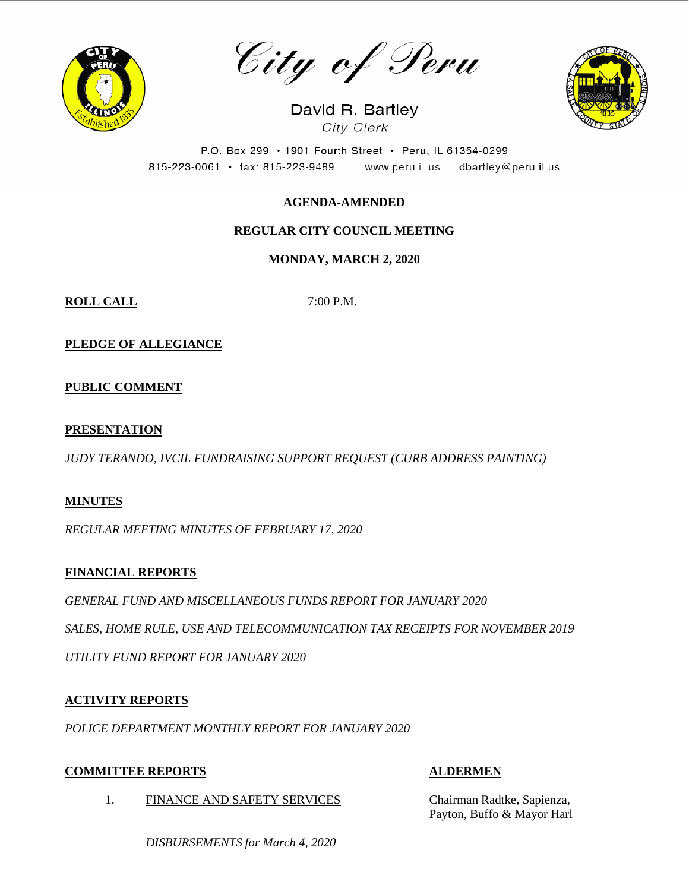

City of Peru

David R. Bartley City Clerk



P.O. Box 299 · 1901 Fourth Street · Peru, IL 61354-0299 815-223-0061 · fax: 815-223-9489 www.peru.il.us dbartley@peru.il.us

# **AGENDA-AMENDED**

# **REGULAR CITY COUNCIL MEETING**

## **MONDAY, MARCH 2, 2020**

**ROLL CALL** 7:00 P.M.

**PLEDGE OF ALLEGIANCE**

**PUBLIC COMMENT**

## **PRESENTATION**

*JUDY TERANDO, IVCIL FUNDRAISING SUPPORT REQUEST (CURB ADDRESS PAINTING)*

## **MINUTES**

*REGULAR MEETING MINUTES OF FEBRUARY 17, 2020*

## **FINANCIAL REPORTS**

*GENERAL FUND AND MISCELLANEOUS FUNDS REPORT FOR JANUARY 2020*

*SALES, HOME RULE, USE AND TELECOMMUNICATION TAX RECEIPTS FOR NOVEMBER 2019*

*UTILITY FUND REPORT FOR JANUARY 2020*

## **ACTIVITY REPORTS**

*POLICE DEPARTMENT MONTHLY REPORT FOR JANUARY 2020*

## **COMMITTEE REPORTS ALDERMEN**

- 
- 1. FINANCE AND SAFETY SERVICES Chairman Radtke, Sapienza, Payton, Buffo & Mayor Harl

*DISBURSEMENTS for March 4, 2020*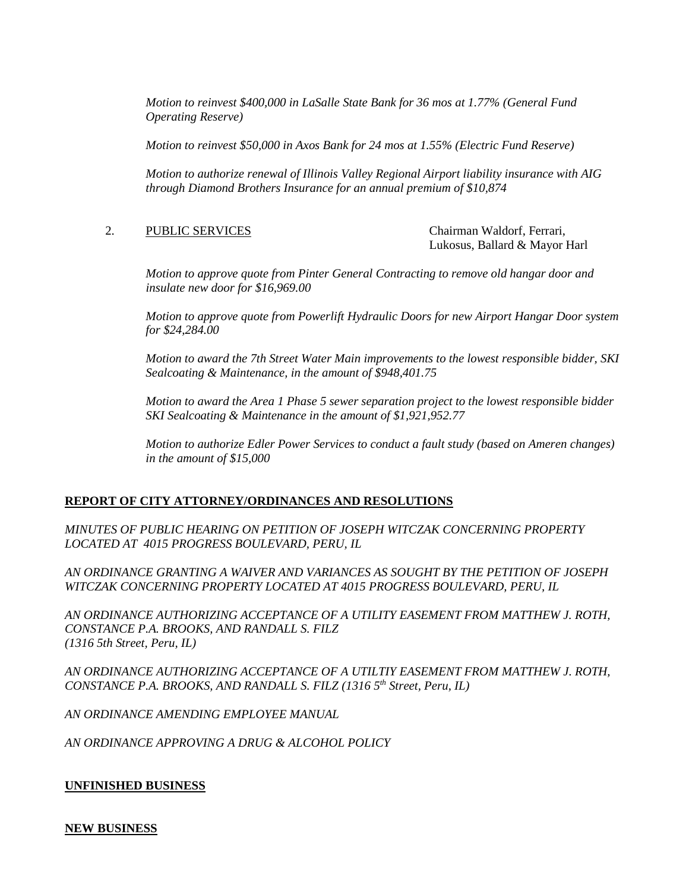*Motion to reinvest \$400,000 in LaSalle State Bank for 36 mos at 1.77% (General Fund Operating Reserve)*

*Motion to reinvest \$50,000 in Axos Bank for 24 mos at 1.55% (Electric Fund Reserve)*

*Motion to authorize renewal of Illinois Valley Regional Airport liability insurance with AIG through Diamond Brothers Insurance for an annual premium of \$10,874*

2. PUBLIC SERVICES Chairman Waldorf, Ferrari,

Lukosus, Ballard & Mayor Harl

*Motion to approve quote from Pinter General Contracting to remove old hangar door and insulate new door for \$16,969.00*

*Motion to approve quote from Powerlift Hydraulic Doors for new Airport Hangar Door system for \$24,284.00*

*Motion to award the 7th Street Water Main improvements to the lowest responsible bidder, SKI Sealcoating & Maintenance, in the amount of \$948,401.75*

*Motion to award the Area 1 Phase 5 sewer separation project to the lowest responsible bidder SKI Sealcoating & Maintenance in the amount of \$1,921,952.77*

*Motion to authorize Edler Power Services to conduct a fault study (based on Ameren changes) in the amount of \$15,000*

## **REPORT OF CITY ATTORNEY/ORDINANCES AND RESOLUTIONS**

*MINUTES OF PUBLIC HEARING ON PETITION OF JOSEPH WITCZAK CONCERNING PROPERTY LOCATED AT 4015 PROGRESS BOULEVARD, PERU, IL* 

*AN ORDINANCE GRANTING A WAIVER AND VARIANCES AS SOUGHT BY THE PETITION OF JOSEPH WITCZAK CONCERNING PROPERTY LOCATED AT 4015 PROGRESS BOULEVARD, PERU, IL* 

*AN ORDINANCE AUTHORIZING ACCEPTANCE OF A UTILITY EASEMENT FROM MATTHEW J. ROTH, CONSTANCE P.A. BROOKS, AND RANDALL S. FILZ (1316 5th Street, Peru, IL)*

*AN ORDINANCE AUTHORIZING ACCEPTANCE OF A UTILTIY EASEMENT FROM MATTHEW J. ROTH, CONSTANCE P.A. BROOKS, AND RANDALL S. FILZ (1316 5th Street, Peru, IL)*

*AN ORDINANCE AMENDING EMPLOYEE MANUAL*

*AN ORDINANCE APPROVING A DRUG & ALCOHOL POLICY*

#### **UNFINISHED BUSINESS**

**NEW BUSINESS**